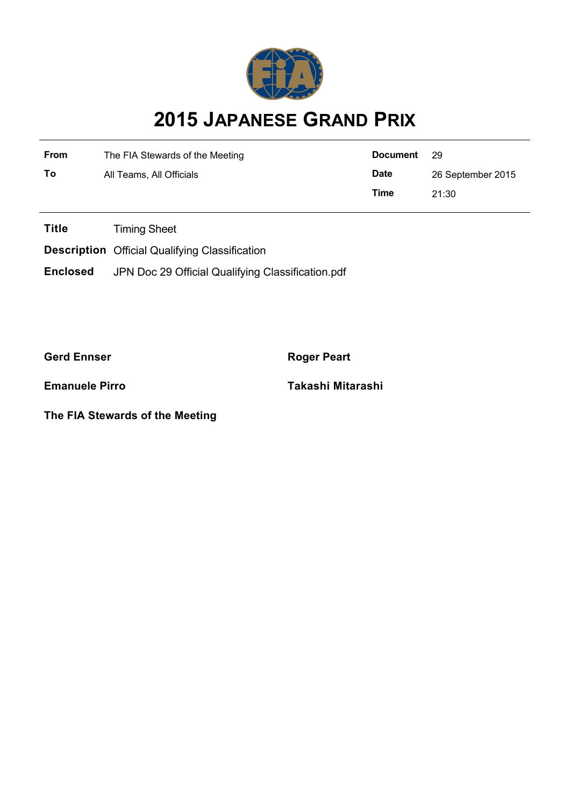

## **2015 JAPANESE GRAND PRIX**

| From | The FIA Stewards of the Meeting | <b>Document</b> | - 29              |
|------|---------------------------------|-----------------|-------------------|
| To   | All Teams, All Officials        | <b>Date</b>     | 26 September 2015 |
|      |                                 | Time            | 21:30             |

**Title** Timing Sheet

**Description** Official Qualifying Classification

**Enclosed** JPN Doc 29 Official Qualifying Classification.pdf

**Gerd Ennser Roger Peart** 

**The FIA Stewards of the Meeting**

**Emanuele Pirro Takashi Mitarashi**